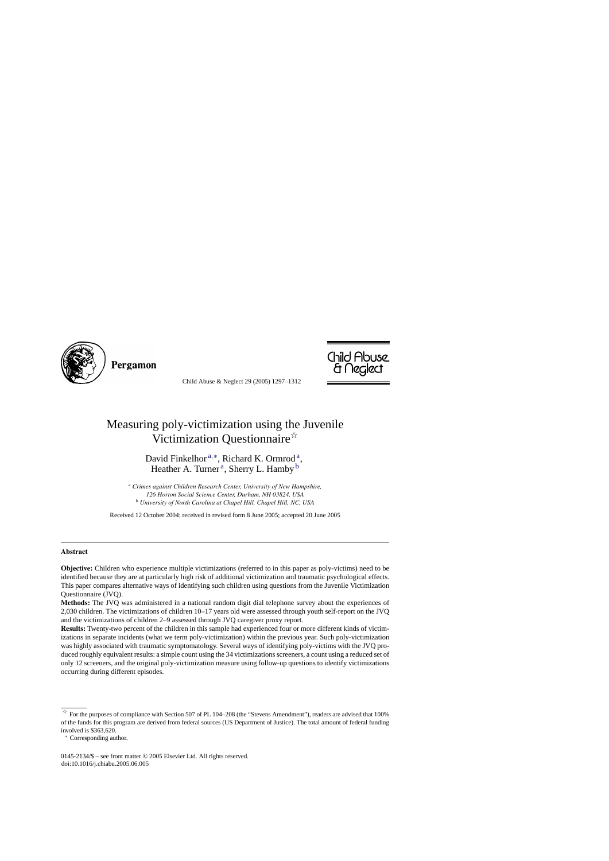

Pergamon

Child Abuse & Neglect 29 (2005) 1297–1312



# Measuring poly-victimization using the Juvenile Victimization Ouestionnaire $\dot{\alpha}$

# David Finkelhor<sup>a,∗</sup>, Richard K. Ormrod<sup>a</sup>, Heather A. Turner<sup>a</sup>, Sherry L. Hamby  $<sup>b</sup>$ </sup>

<sup>a</sup> *Crimes against Children Research Center, University of New Hampshire, 126 Horton Social Science Center, Durham, NH 03824, USA* <sup>b</sup> *University of North Carolina at Chapel Hill, Chapel Hill, NC, USA*

Received 12 October 2004; received in revised form 8 June 2005; accepted 20 June 2005

#### **Abstract**

**Objective:** Children who experience multiple victimizations (referred to in this paper as poly-victims) need to be identified because they are at particularly high risk of additional victimization and traumatic psychological effects. This paper compares alternative ways of identifying such children using questions from the Juvenile Victimization Questionnaire (JVQ).

**Methods:** The JVQ was administered in a national random digit dial telephone survey about the experiences of 2,030 children. The victimizations of children 10–17 years old were assessed through youth self-report on the JVQ and the victimizations of children 2–9 assessed through JVQ caregiver proxy report.

**Results:** Twenty-two percent of the children in this sample had experienced four or more different kinds of victimizations in separate incidents (what we term poly-victimization) within the previous year. Such poly-victimization was highly associated with traumatic symptomatology. Several ways of identifying poly-victims with the JVQ produced roughly equivalent results: a simple count using the 34 victimizations screeners, a count using a reduced set of only 12 screeners, and the original poly-victimization measure using follow-up questions to identify victimizations occurring during different episodes.

 $\overrightarrow{x}$  For the purposes of compliance with Section 507 of PL 104–208 (the "Stevens Amendment"), readers are advised that 100% of the funds for this program are derived from federal sources (US Department of Justice). The total amount of federal funding involved is \$363,620.

<sup>∗</sup> Corresponding author.

<sup>0145-2134/\$ –</sup> see front matter © 2005 Elsevier Ltd. All rights reserved. doi:10.1016/j.chiabu.2005.06.005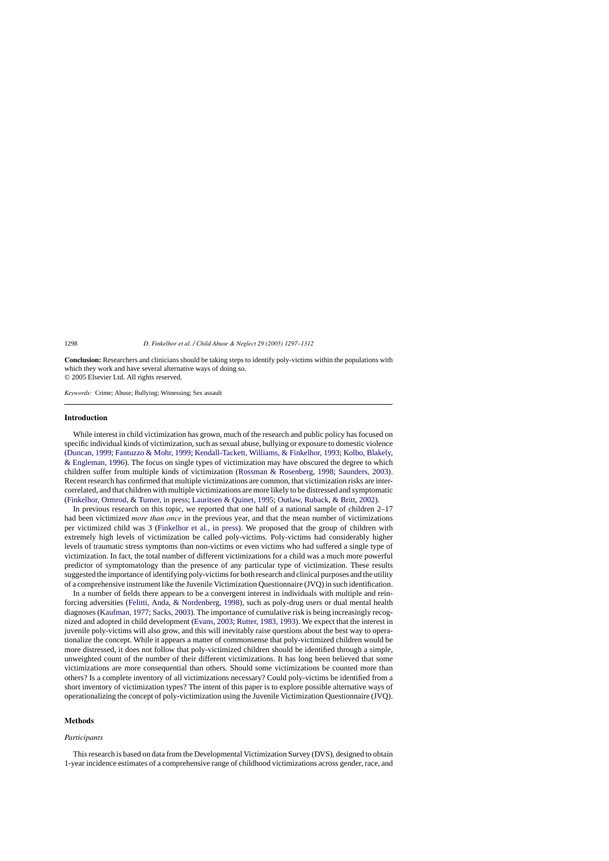**Conclusion:** Researchers and clinicians should be taking steps to identify poly-victims within the populations with which they work and have several alternative ways of doing so. © 2005 Elsevier Ltd. All rights reserved.

*Keywords:* Crime; Abuse; Bullying; Witnessing; Sex assault

#### **Introduction**

While interest in child victimization has grown, much of the research and public policy has focused on specific individual kinds of victimization, such as sexual abuse, bullying or exposure to domestic violence ([Duncan, 1999;](#page-14-0) [Fantuzzo & Mohr, 1999;](#page-14-0) [Kendall-Tackett, Williams, & Finkelhor, 1993;](#page-14-0) [Kolbo, Blakely,](#page-14-0) [& Engleman, 1996\).](#page-14-0) The focus on single types of victimization may have obscured the degree to which children suffer from multiple kinds of victimization ([Rossman & Rosenberg, 1998;](#page-14-0) [Saunders, 2003\).](#page-14-0) Recent research has confirmed that multiple victimizations are common, that victimization risks are intercorrelated, and that children with multiple victimizations are more likely to be distressed and symptomatic ([Finkelhor, Ormrod, & Turner, in press;](#page-14-0) [Lauritsen & Quinet, 1995;](#page-14-0) [Outlaw, Ruback, & Britt, 2002\).](#page-14-0)

In previous research on this topic, we reported that one half of a national sample of children 2–17 had been victimized *more than once* in the previous year, and that the mean number of victimizations per victimized child was 3 [\(Finkelhor et al., in press\).](#page-14-0) We proposed that the group of children with extremely high levels of victimization be called poly-victims. Poly-victims had considerably higher levels of traumatic stress symptoms than non-victims or even victims who had suffered a single type of victimization. In fact, the total number of different victimizations for a child was a much more powerful predictor of symptomatology than the presence of any particular type of victimization. These results suggested the importance of identifying poly-victims for both research and clinical purposes and the utility of a comprehensive instrument like the Juvenile Victimization Questionnaire (JVQ) in such identification.

In a number of fields there appears to be a convergent interest in individuals with multiple and reinforcing adversities ([Felitti, Anda, & Nordenberg, 1998\),](#page-14-0) such as poly-drug users or dual mental health diagnoses [\(Kaufman, 1977; Sacks, 2003\).](#page-14-0) The importance of cumulative risk is being increasingly recognized and adopted in child development ([Evans, 2003; Rutter, 1983, 1993\).](#page-14-0) We expect that the interest in juvenile poly-victims will also grow, and this will inevitably raise questions about the best way to operationalize the concept. While it appears a matter of commonsense that poly-victimized children would be more distressed, it does not follow that poly-victimized children should be identified through a simple, unweighted count of the number of their different victimizations. It has long been believed that some victimizations are more consequential than others. Should some victimizations be counted more than others? Is a complete inventory of all victimizations necessary? Could poly-victims be identified from a short inventory of victimization types? The intent of this paper is to explore possible alternative ways of operationalizing the concept of poly-victimization using the Juvenile Victimization Questionnaire (JVQ).

#### **Methods**

#### *Participants*

This research is based on data from the Developmental Victimization Survey (DVS), designed to obtain 1-year incidence estimates of a comprehensive range of childhood victimizations across gender, race, and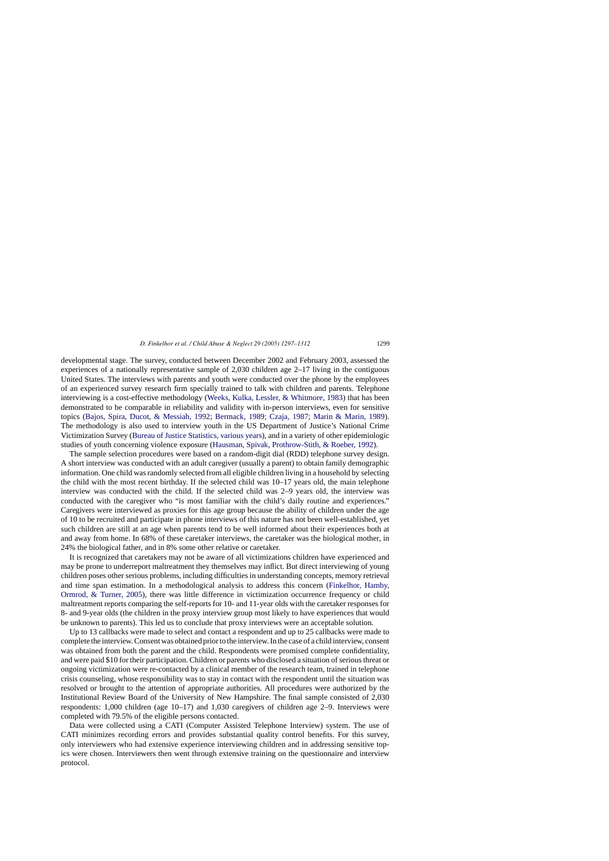developmental stage. The survey, conducted between December 2002 and February 2003, assessed the experiences of a nationally representative sample of 2,030 children age 2–17 living in the contiguous United States. The interviews with parents and youth were conducted over the phone by the employees of an experienced survey research firm specially trained to talk with children and parents. Telephone interviewing is a cost-effective methodology ([Weeks, Kulka, Lessler, & Whitmore, 1983\)](#page-15-0) that has been demonstrated to be comparable in reliability and validity with in-person interviews, even for sensitive topics [\(Bajos, Spira, Ducot, & Messiah, 1992;](#page-13-0) [Bermack, 1989; Czaja, 1987;](#page-13-0) [Marin & Marin, 1989\).](#page-14-0) The methodology is also used to interview youth in the US Department of Justice's National Crime Victimization Survey ([Bureau of Justice Statistics, various years\),](#page-14-0) and in a variety of other epidemiologic studies of youth concerning violence exposure [\(Hausman, Spivak, Prothrow-Stith, & Roeber, 1992\).](#page-14-0)

The sample selection procedures were based on a random-digit dial (RDD) telephone survey design. A short interview was conducted with an adult caregiver (usually a parent) to obtain family demographic information. One child was randomly selected from all eligible children living in a household by selecting the child with the most recent birthday. If the selected child was 10–17 years old, the main telephone interview was conducted with the child. If the selected child was 2–9 years old, the interview was conducted with the caregiver who "is most familiar with the child's daily routine and experiences." Caregivers were interviewed as proxies for this age group because the ability of children under the age of 10 to be recruited and participate in phone interviews of this nature has not been well-established, yet such children are still at an age when parents tend to be well informed about their experiences both at and away from home. In 68% of these caretaker interviews, the caretaker was the biological mother, in 24% the biological father, and in 8% some other relative or caretaker.

It is recognized that caretakers may not be aware of all victimizations children have experienced and may be prone to underreport maltreatment they themselves may inflict. But direct interviewing of young children poses other serious problems, including difficulties in understanding concepts, memory retrieval and time span estimation. In a methodological analysis to address this concern ([Finkelhor, Hamby,](#page-14-0) [Ormrod, & Turner, 2005\),](#page-14-0) there was little difference in victimization occurrence frequency or child maltreatment reports comparing the self-reports for 10- and 11-year olds with the caretaker responses for 8- and 9-year olds (the children in the proxy interview group most likely to have experiences that would be unknown to parents). This led us to conclude that proxy interviews were an acceptable solution.

Up to 13 callbacks were made to select and contact a respondent and up to 25 callbacks were made to complete the interview. Consent was obtained prior to the interview. In the case of a child interview, consent was obtained from both the parent and the child. Respondents were promised complete confidentiality, and were paid \$10 for their participation. Children or parents who disclosed a situation of serious threat or ongoing victimization were re-contacted by a clinical member of the research team, trained in telephone crisis counseling, whose responsibility was to stay in contact with the respondent until the situation was resolved or brought to the attention of appropriate authorities. All procedures were authorized by the Institutional Review Board of the University of New Hampshire. The final sample consisted of 2,030 respondents: 1,000 children (age 10–17) and 1,030 caregivers of children age 2–9. Interviews were completed with 79.5% of the eligible persons contacted.

Data were collected using a CATI (Computer Assisted Telephone Interview) system. The use of CATI minimizes recording errors and provides substantial quality control benefits. For this survey, only interviewers who had extensive experience interviewing children and in addressing sensitive topics were chosen. Interviewers then went through extensive training on the questionnaire and interview protocol.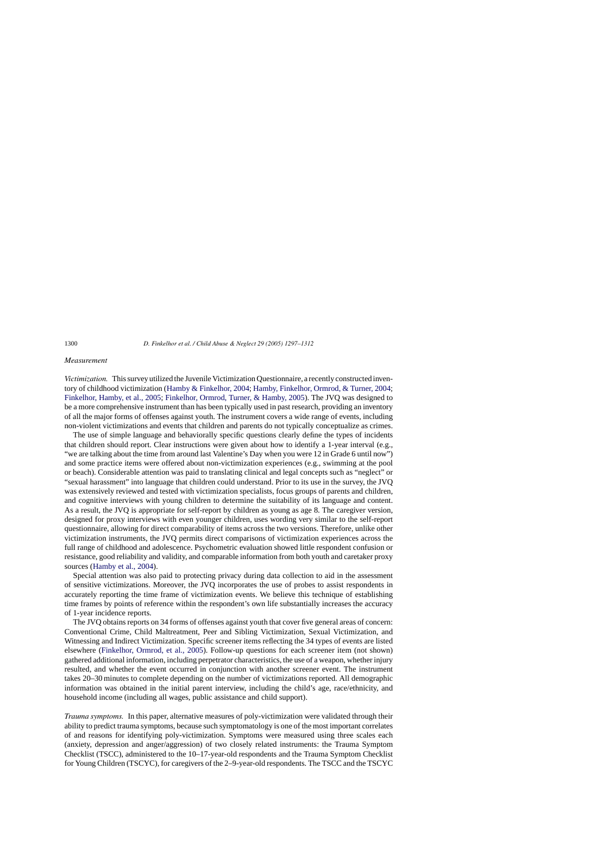#### *Measurement*

*Victimization.* This survey utilized the Juvenile Victimization Questionnaire, a recently constructed inventory of childhood victimization ([Hamby & Finkelhor, 2004;](#page-14-0) [Hamby, Finkelhor, Ormrod, & Turner, 2004;](#page-14-0) [Finkelhor, Hamby, et al., 2005;](#page-14-0) [Finkelhor, Ormrod, Turner, & Hamby, 2005\).](#page-14-0) The JVQ was designed to be a more comprehensive instrument than has been typically used in past research, providing an inventory of all the major forms of offenses against youth. The instrument covers a wide range of events, including non-violent victimizations and events that children and parents do not typically conceptualize as crimes.

The use of simple language and behaviorally specific questions clearly define the types of incidents that children should report. Clear instructions were given about how to identify a 1-year interval (e.g., "we are talking about the time from around last Valentine's Day when you were 12 in Grade 6 until now") and some practice items were offered about non-victimization experiences (e.g., swimming at the pool or beach). Considerable attention was paid to translating clinical and legal concepts such as "neglect" or "sexual harassment" into language that children could understand. Prior to its use in the survey, the JVQ was extensively reviewed and tested with victimization specialists, focus groups of parents and children, and cognitive interviews with young children to determine the suitability of its language and content. As a result, the JVQ is appropriate for self-report by children as young as age 8. The caregiver version, designed for proxy interviews with even younger children, uses wording very similar to the self-report questionnaire, allowing for direct comparability of items across the two versions. Therefore, unlike other victimization instruments, the JVQ permits direct comparisons of victimization experiences across the full range of childhood and adolescence. Psychometric evaluation showed little respondent confusion or resistance, good reliability and validity, and comparable information from both youth and caretaker proxy sources [\(Hamby et al., 2004\).](#page-14-0)

Special attention was also paid to protecting privacy during data collection to aid in the assessment of sensitive victimizations. Moreover, the JVQ incorporates the use of probes to assist respondents in accurately reporting the time frame of victimization events. We believe this technique of establishing time frames by points of reference within the respondent's own life substantially increases the accuracy of 1-year incidence reports.

The JVQ obtains reports on 34 forms of offenses against youth that cover five general areas of concern: Conventional Crime, Child Maltreatment, Peer and Sibling Victimization, Sexual Victimization, and Witnessing and Indirect Victimization. Specific screener items reflecting the 34 types of events are listed elsewhere [\(Finkelhor, Ormrod, et al., 2005\).](#page-14-0) Follow-up questions for each screener item (not shown) gathered additional information, including perpetrator characteristics, the use of a weapon, whether injury resulted, and whether the event occurred in conjunction with another screener event. The instrument takes 20–30 minutes to complete depending on the number of victimizations reported. All demographic information was obtained in the initial parent interview, including the child's age, race/ethnicity, and household income (including all wages, public assistance and child support).

*Trauma symptoms.* In this paper, alternative measures of poly-victimization were validated through their ability to predict trauma symptoms, because such symptomatology is one of the most important correlates of and reasons for identifying poly-victimization. Symptoms were measured using three scales each (anxiety, depression and anger/aggression) of two closely related instruments: the Trauma Symptom Checklist (TSCC), administered to the 10–17-year-old respondents and the Trauma Symptom Checklist for Young Children (TSCYC), for caregivers of the 2–9-year-old respondents. The TSCC and the TSCYC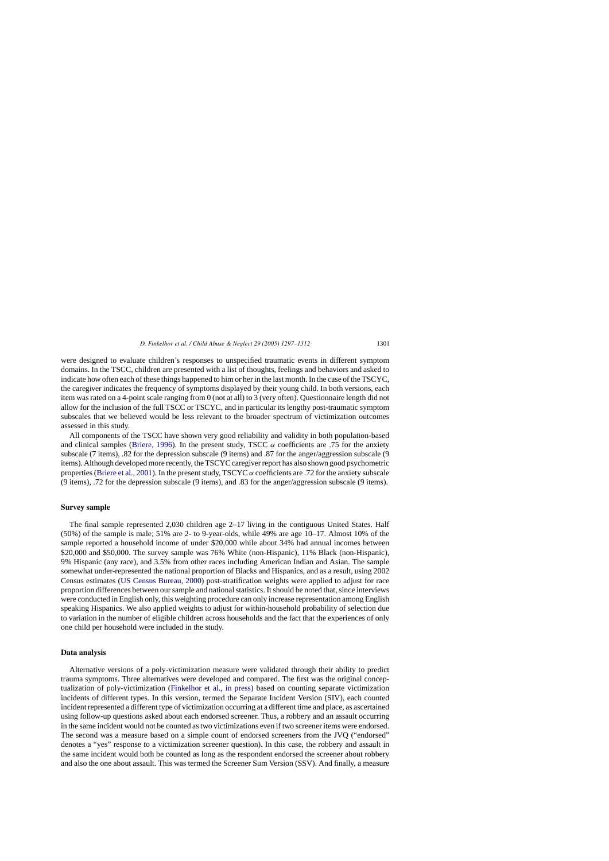were designed to evaluate children's responses to unspecified traumatic events in different symptom domains. In the TSCC, children are presented with a list of thoughts, feelings and behaviors and asked to indicate how often each of these things happened to him or her in the last month. In the case of the TSCYC, the caregiver indicates the frequency of symptoms displayed by their young child. In both versions, each item was rated on a 4-point scale ranging from 0 (not at all) to 3 (very often). Questionnaire length did not allow for the inclusion of the full TSCC or TSCYC, and in particular its lengthy post-traumatic symptom subscales that we believed would be less relevant to the broader spectrum of victimization outcomes assessed in this study.

All components of the TSCC have shown very good reliability and validity in both population-based and clinical samples [\(Briere, 1996\).](#page-14-0) In the present study, TSCC  $\alpha$  coefficients are .75 for the anxiety subscale (7 items), .82 for the depression subscale (9 items) and .87 for the anger/aggression subscale (9 items). Although developed more recently, the TSCYC caregiver report has also shown good psychometric properties ([Briere et al., 2001\).](#page-14-0) In the present study, TSCYC  $\alpha$  coefficients are .72 for the anxiety subscale (9 items), .72 for the depression subscale (9 items), and .83 for the anger/aggression subscale (9 items).

#### **Survey sample**

The final sample represented 2,030 children age 2–17 living in the contiguous United States. Half (50%) of the sample is male; 51% are 2- to 9-year-olds, while 49% are age 10–17. Almost 10% of the sample reported a household income of under \$20,000 while about 34% had annual incomes between \$20,000 and \$50,000. The survey sample was 76% White (non-Hispanic), 11% Black (non-Hispanic), 9% Hispanic (any race), and 3.5% from other races including American Indian and Asian. The sample somewhat under-represented the national proportion of Blacks and Hispanics, and as a result, using 2002 Census estimates ([US Census Bureau, 2000\)](#page-15-0) post-stratification weights were applied to adjust for race proportion differences between our sample and national statistics. It should be noted that, since interviews were conducted in English only, this weighting procedure can only increase representation among English speaking Hispanics. We also applied weights to adjust for within-household probability of selection due to variation in the number of eligible children across households and the fact that the experiences of only one child per household were included in the study.

#### **Data analysis**

Alternative versions of a poly-victimization measure were validated through their ability to predict trauma symptoms. Three alternatives were developed and compared. The first was the original conceptualization of poly-victimization [\(Finkelhor et al., in press\)](#page-14-0) based on counting separate victimization incidents of different types. In this version, termed the Separate Incident Version (SIV), each counted incident represented a different type of victimization occurring at a different time and place, as ascertained using follow-up questions asked about each endorsed screener. Thus, a robbery and an assault occurring in the same incident would not be counted as two victimizations even if two screener items were endorsed. The second was a measure based on a simple count of endorsed screeners from the JVQ ("endorsed" denotes a "yes" response to a victimization screener question). In this case, the robbery and assault in the same incident would both be counted as long as the respondent endorsed the screener about robbery and also the one about assault. This was termed the Screener Sum Version (SSV). And finally, a measure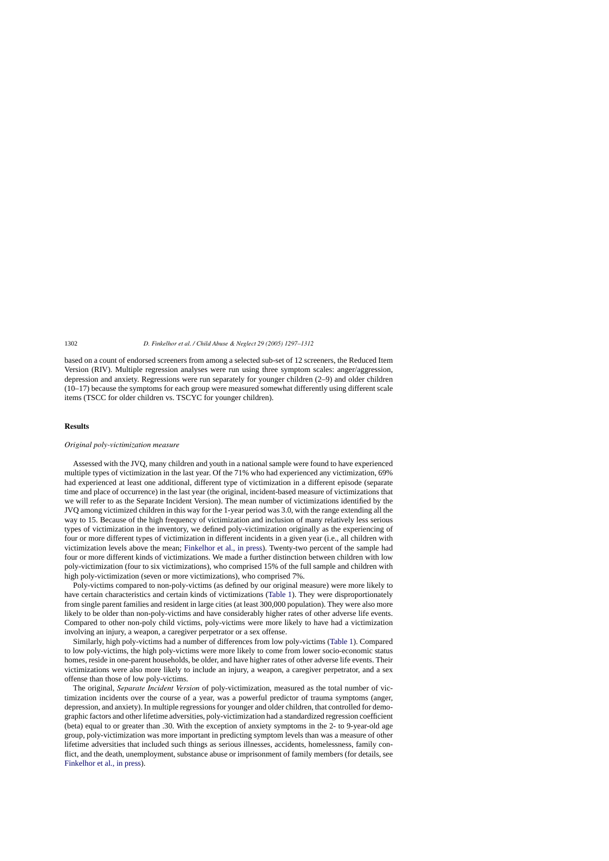based on a count of endorsed screeners from among a selected sub-set of 12 screeners, the Reduced Item Version (RIV). Multiple regression analyses were run using three symptom scales: anger/aggression, depression and anxiety. Regressions were run separately for younger children (2–9) and older children (10–17) because the symptoms for each group were measured somewhat differently using different scale items (TSCC for older children vs. TSCYC for younger children).

#### **Results**

#### *Original poly-victimization measure*

Assessed with the JVQ, many children and youth in a national sample were found to have experienced multiple types of victimization in the last year. Of the 71% who had experienced any victimization, 69% had experienced at least one additional, different type of victimization in a different episode (separate time and place of occurrence) in the last year (the original, incident-based measure of victimizations that we will refer to as the Separate Incident Version). The mean number of victimizations identified by the JVQ among victimized children in this way for the 1-year period was 3.0, with the range extending all the way to 15. Because of the high frequency of victimization and inclusion of many relatively less serious types of victimization in the inventory, we defined poly-victimization originally as the experiencing of four or more different types of victimization in different incidents in a given year (i.e., all children with victimization levels above the mean; [Finkelhor et al., in press\).](#page-14-0) Twenty-two percent of the sample had four or more different kinds of victimizations. We made a further distinction between children with low poly-victimization (four to six victimizations), who comprised 15% of the full sample and children with high poly-victimization (seven or more victimizations), who comprised 7%.

Poly-victims compared to non-poly-victims (as defined by our original measure) were more likely to have certain characteristics and certain kinds of victimizations [\(Table 1\).](#page-6-0) They were disproportionately from single parent families and resident in large cities (at least 300,000 population). They were also more likely to be older than non-poly-victims and have considerably higher rates of other adverse life events. Compared to other non-poly child victims, poly-victims were more likely to have had a victimization involving an injury, a weapon, a caregiver perpetrator or a sex offense.

Similarly, high poly-victims had a number of differences from low poly-victims ([Table 1\).](#page-6-0) Compared to low poly-victims, the high poly-victims were more likely to come from lower socio-economic status homes, reside in one-parent households, be older, and have higher rates of other adverse life events. Their victimizations were also more likely to include an injury, a weapon, a caregiver perpetrator, and a sex offense than those of low poly-victims.

The original, *Separate Incident Version* of poly-victimization, measured as the total number of victimization incidents over the course of a year, was a powerful predictor of trauma symptoms (anger, depression, and anxiety). In multiple regressions for younger and older children, that controlled for demographic factors and other lifetime adversities, poly-victimization had a standardized regression coefficient (beta) equal to or greater than .30. With the exception of anxiety symptoms in the 2- to 9-year-old age group, poly-victimization was more important in predicting symptom levels than was a measure of other lifetime adversities that included such things as serious illnesses, accidents, homelessness, family conflict, and the death, unemployment, substance abuse or imprisonment of family members (for details, see [Finkelhor et al., in press\).](#page-14-0)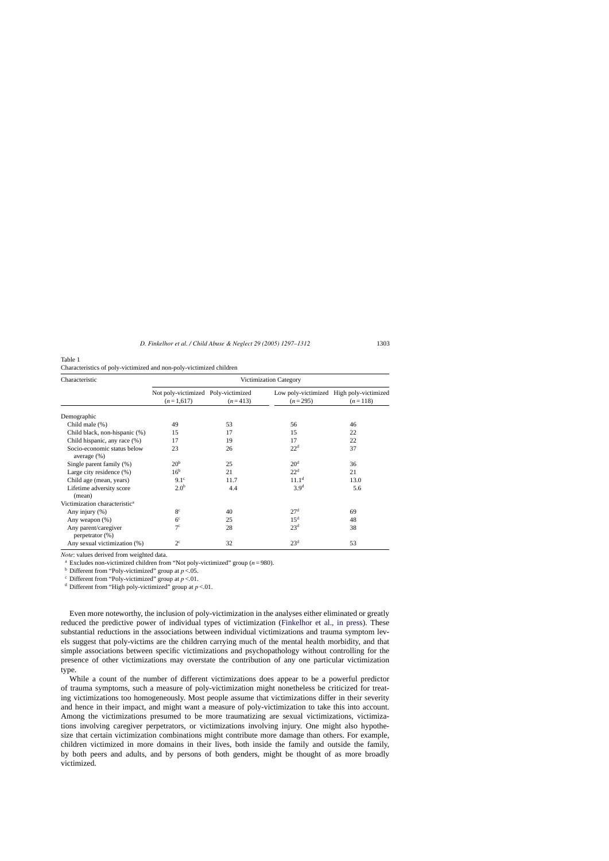<span id="page-6-0"></span>

| v.<br>×<br>۰,<br>٠ |
|--------------------|
|--------------------|

Characteristics of poly-victimized and non-poly-victimized children

| Characteristic                                | Victimization Category                             |           |                   |                                                       |  |  |  |
|-----------------------------------------------|----------------------------------------------------|-----------|-------------------|-------------------------------------------------------|--|--|--|
|                                               | Not poly-victimized Poly-victimized<br>$(n=1,617)$ | $(n=413)$ | $(n=295)$         | Low poly-victimized High poly-victimized<br>$(n=118)$ |  |  |  |
| Demographic                                   |                                                    |           |                   |                                                       |  |  |  |
| Child male $(\%)$                             | 49                                                 | 53        | 56                | 46                                                    |  |  |  |
| Child black, non-hispanic (%)                 | 15                                                 | 17        | 15                | 22                                                    |  |  |  |
| Child hispanic, any race (%)                  | 17                                                 | 19        | 17                | 22                                                    |  |  |  |
| Socio-economic status below<br>average $(\%)$ | 23                                                 | 26        | 22 <sup>d</sup>   | 37                                                    |  |  |  |
| Single parent family (%)                      | 20 <sup>b</sup>                                    | 25        | 20 <sup>d</sup>   | 36                                                    |  |  |  |
| Large city residence $(\%)$                   | 16 <sup>b</sup>                                    | 21        | 22 <sup>d</sup>   | 21                                                    |  |  |  |
| Child age (mean, years)                       | 9.1 <sup>c</sup>                                   | 11.7      | 11.1 <sup>d</sup> | 13.0                                                  |  |  |  |
| Lifetime adversity score<br>(mean)            | 2.0 <sup>b</sup>                                   | 4.4       | 3.9 <sup>d</sup>  | 5.6                                                   |  |  |  |
| Victimization characteristic <sup>a</sup>     |                                                    |           |                   |                                                       |  |  |  |
| Any injury $(\%)$                             | 8 <sup>c</sup>                                     | 40        | 27 <sup>d</sup>   | 69                                                    |  |  |  |
| Any weapon $(\%)$                             | 6 <sup>c</sup>                                     | 25        | 15 <sup>d</sup>   | 48                                                    |  |  |  |
| Any parent/caregiver<br>perpetrator $(\%)$    | 7 <sup>c</sup>                                     | 28        | 23 <sup>d</sup>   | 38                                                    |  |  |  |
| Any sexual victimization (%)                  | $2^{\circ}$                                        | 32        | 23 <sup>d</sup>   | 53                                                    |  |  |  |

*Note*: values derived from weighted data.

<sup>a</sup> Excludes non-victimized children from "Not poly-victimized" group  $(n=980)$ .

<sup>b</sup> Different from "Poly-victimized" group at  $p < 0.05$ .

 $\degree$  Different from "Poly-victimized" group at  $p < 01$ .

<sup>d</sup> Different from "High poly-victimized" group at  $p < 01$ .

Even more noteworthy, the inclusion of poly-victimization in the analyses either eliminated or greatly reduced the predictive power of individual types of victimization [\(Finkelhor et al., in press\).](#page-14-0) These substantial reductions in the associations between individual victimizations and trauma symptom levels suggest that poly-victims are the children carrying much of the mental health morbidity, and that simple associations between specific victimizations and psychopathology without controlling for the presence of other victimizations may overstate the contribution of any one particular victimization type.

While a count of the number of different victimizations does appear to be a powerful predictor of trauma symptoms, such a measure of poly-victimization might nonetheless be criticized for treating victimizations too homogeneously. Most people assume that victimizations differ in their severity and hence in their impact, and might want a measure of poly-victimization to take this into account. Among the victimizations presumed to be more traumatizing are sexual victimizations, victimizations involving caregiver perpetrators, or victimizations involving injury. One might also hypothesize that certain victimization combinations might contribute more damage than others. For example, children victimized in more domains in their lives, both inside the family and outside the family, by both peers and adults, and by persons of both genders, might be thought of as more broadly victimized.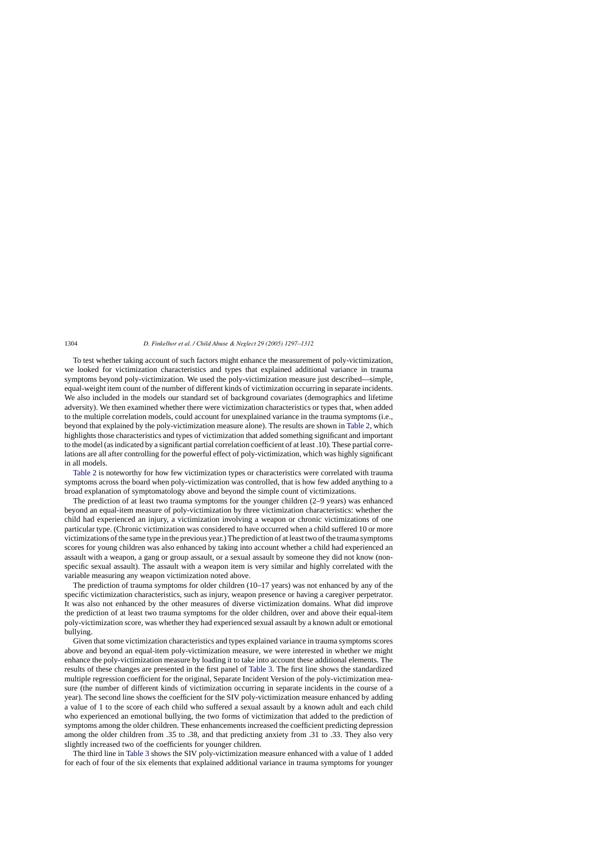#### 1304 *D. Finkelhor et al. / Child Abuse & Neglect 29 (2005) 1297–1312*

To test whether taking account of such factors might enhance the measurement of poly-victimization, we looked for victimization characteristics and types that explained additional variance in trauma symptoms beyond poly-victimization. We used the poly-victimization measure just described—simple, equal-weight item count of the number of different kinds of victimization occurring in separate incidents. We also included in the models our standard set of background covariates (demographics and lifetime adversity). We then examined whether there were victimization characteristics or types that, when added to the multiple correlation models, could account for unexplained variance in the trauma symptoms (i.e., beyond that explained by the poly-victimization measure alone). The results are shown in [Table 2, w](#page-8-0)hich highlights those characteristics and types of victimization that added something significant and important to the model (as indicated by a significant partial correlation coefficient of at least .10). These partial correlations are all after controlling for the powerful effect of poly-victimization, which was highly significant in all models.

[Table 2](#page-8-0) is noteworthy for how few victimization types or characteristics were correlated with trauma symptoms across the board when poly-victimization was controlled, that is how few added anything to a broad explanation of symptomatology above and beyond the simple count of victimizations.

The prediction of at least two trauma symptoms for the younger children (2–9 years) was enhanced beyond an equal-item measure of poly-victimization by three victimization characteristics: whether the child had experienced an injury, a victimization involving a weapon or chronic victimizations of one particular type. (Chronic victimization was considered to have occurred when a child suffered 10 or more victimizations of the same type in the previous year.) The prediction of at least two of the trauma symptoms scores for young children was also enhanced by taking into account whether a child had experienced an assault with a weapon, a gang or group assault, or a sexual assault by someone they did not know (nonspecific sexual assault). The assault with a weapon item is very similar and highly correlated with the variable measuring any weapon victimization noted above.

The prediction of trauma symptoms for older children  $(10-17$  years) was not enhanced by any of the specific victimization characteristics, such as injury, weapon presence or having a caregiver perpetrator. It was also not enhanced by the other measures of diverse victimization domains. What did improve the prediction of at least two trauma symptoms for the older children, over and above their equal-item poly-victimization score, was whether they had experienced sexual assault by a known adult or emotional bullying.

Given that some victimization characteristics and types explained variance in trauma symptoms scores above and beyond an equal-item poly-victimization measure, we were interested in whether we might enhance the poly-victimization measure by loading it to take into account these additional elements. The results of these changes are presented in the first panel of [Table 3.](#page-9-0) The first line shows the standardized multiple regression coefficient for the original, Separate Incident Version of the poly-victimization measure (the number of different kinds of victimization occurring in separate incidents in the course of a year). The second line shows the coefficient for the SIV poly-victimization measure enhanced by adding a value of 1 to the score of each child who suffered a sexual assault by a known adult and each child who experienced an emotional bullying, the two forms of victimization that added to the prediction of symptoms among the older children. These enhancements increased the coefficient predicting depression among the older children from .35 to .38, and that predicting anxiety from .31 to .33. They also very slightly increased two of the coefficients for younger children.

The third line in [Table 3](#page-9-0) shows the SIV poly-victimization measure enhanced with a value of 1 added for each of four of the six elements that explained additional variance in trauma symptoms for younger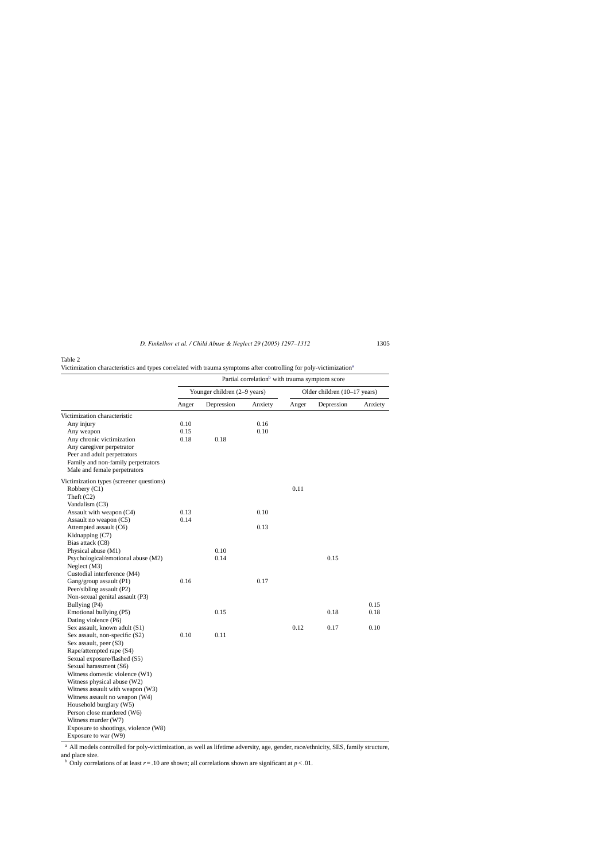<span id="page-8-0"></span>

|                                                               | Partial correlation <sup>b</sup> with trauma symptom score |            |         |                                        |            |         |
|---------------------------------------------------------------|------------------------------------------------------------|------------|---------|----------------------------------------|------------|---------|
|                                                               | Younger children (2-9 years)                               |            |         | Older children $(10-17 \text{ years})$ |            |         |
|                                                               | Anger                                                      | Depression | Anxiety | Anger                                  | Depression | Anxiety |
| Victimization characteristic                                  |                                                            |            |         |                                        |            |         |
| Any injury                                                    | 0.10                                                       |            | 0.16    |                                        |            |         |
| Any weapon                                                    | 0.15                                                       |            | 0.10    |                                        |            |         |
| Any chronic victimization                                     | 0.18                                                       | 0.18       |         |                                        |            |         |
| Any caregiver perpetrator                                     |                                                            |            |         |                                        |            |         |
| Peer and adult perpetrators                                   |                                                            |            |         |                                        |            |         |
| Family and non-family perpetrators                            |                                                            |            |         |                                        |            |         |
| Male and female perpetrators                                  |                                                            |            |         |                                        |            |         |
| Victimization types (screener questions)                      |                                                            |            |         |                                        |            |         |
| Robbery (C1)                                                  |                                                            |            |         | 0.11                                   |            |         |
| Theft $(C2)$                                                  |                                                            |            |         |                                        |            |         |
| Vandalism (C3)                                                |                                                            |            |         |                                        |            |         |
| Assault with weapon (C4)                                      | 0.13                                                       |            | 0.10    |                                        |            |         |
| Assault no weapon (C5)                                        | 0.14                                                       |            |         |                                        |            |         |
| Attempted assault (C6)                                        |                                                            |            | 0.13    |                                        |            |         |
| Kidnapping (C7)<br>Bias attack (C8)                           |                                                            |            |         |                                        |            |         |
| Physical abuse (M1)                                           |                                                            | 0.10       |         |                                        |            |         |
| Psychological/emotional abuse (M2)                            |                                                            | 0.14       |         |                                        | 0.15       |         |
| Neglect (M3)                                                  |                                                            |            |         |                                        |            |         |
| Custodial interference (M4)                                   |                                                            |            |         |                                        |            |         |
| Gang/group assault (P1)                                       | 0.16                                                       |            | 0.17    |                                        |            |         |
| Peer/sibling assault (P2)                                     |                                                            |            |         |                                        |            |         |
| Non-sexual genital assault (P3)                               |                                                            |            |         |                                        |            |         |
| Bullying (P4)                                                 |                                                            |            |         |                                        |            | 0.15    |
| Emotional bullying (P5)                                       |                                                            | 0.15       |         |                                        | 0.18       | 0.18    |
| Dating violence (P6)                                          |                                                            |            |         |                                        |            |         |
| Sex assault, known adult (S1)                                 |                                                            |            |         | 0.12                                   | 0.17       | 0.10    |
| Sex assault, non-specific (S2)                                | 0.10                                                       | 0.11       |         |                                        |            |         |
| Sex assault, peer (S3)                                        |                                                            |            |         |                                        |            |         |
| Rape/attempted rape (S4)                                      |                                                            |            |         |                                        |            |         |
| Sexual exposure/flashed (S5)                                  |                                                            |            |         |                                        |            |         |
| Sexual harassment (S6)                                        |                                                            |            |         |                                        |            |         |
| Witness domestic violence (W1)<br>Witness physical abuse (W2) |                                                            |            |         |                                        |            |         |
| Witness assault with weapon (W3)                              |                                                            |            |         |                                        |            |         |
| Witness assault no weapon (W4)                                |                                                            |            |         |                                        |            |         |
| Household burglary (W5)                                       |                                                            |            |         |                                        |            |         |
| Person close murdered (W6)                                    |                                                            |            |         |                                        |            |         |
| Witness murder (W7)                                           |                                                            |            |         |                                        |            |         |
| Exposure to shootings, violence (W8)                          |                                                            |            |         |                                        |            |         |
| Exposure to war (W9)                                          |                                                            |            |         |                                        |            |         |

<sup>a</sup> All models controlled for poly-victimization, as well as lifetime adversity, age, gender, race/ethnicity, SES, family structure, and place size.

b Only correlations of at least  $r = .10$  are shown; all correlations shown are significant at  $p < .01$ .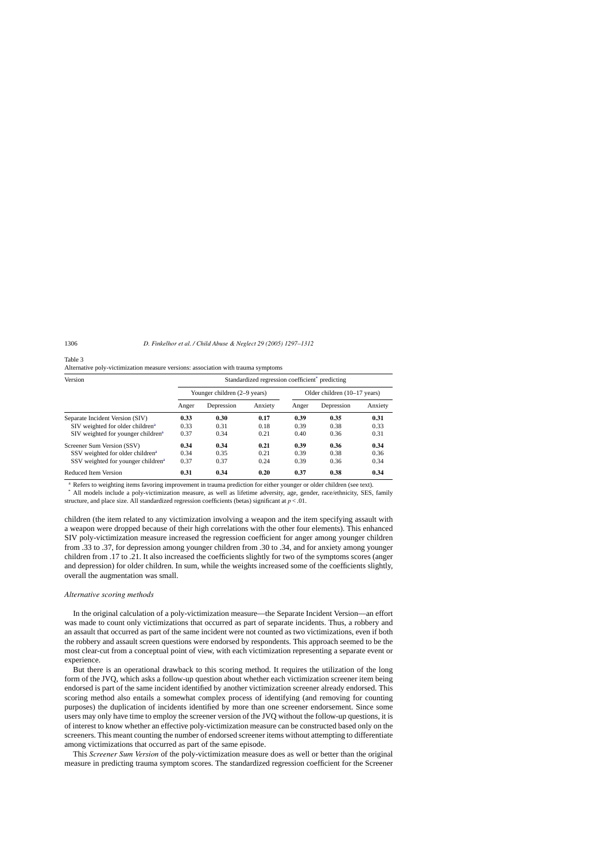| Version                                        | Standardized regression coefficient <sup>*</sup> predicting |            |         |                                        |            |         |
|------------------------------------------------|-------------------------------------------------------------|------------|---------|----------------------------------------|------------|---------|
|                                                | Younger children (2–9 years)                                |            |         | Older children $(10-17 \text{ years})$ |            |         |
|                                                | Anger                                                       | Depression | Anxiety | Anger                                  | Depression | Anxiety |
| Separate Incident Version (SIV)                | 0.33                                                        | 0.30       | 0.17    | 0.39                                   | 0.35       | 0.31    |
| SIV weighted for older children <sup>a</sup>   | 0.33                                                        | 0.31       | 0.18    | 0.39                                   | 0.38       | 0.33    |
| SIV weighted for younger children <sup>a</sup> | 0.37                                                        | 0.34       | 0.21    | 0.40                                   | 0.36       | 0.31    |
| Screener Sum Version (SSV)                     | 0.34                                                        | 0.34       | 0.21    | 0.39                                   | 0.36       | 0.34    |
| SSV weighted for older children <sup>a</sup>   | 0.34                                                        | 0.35       | 0.21    | 0.39                                   | 0.38       | 0.36    |
| SSV weighted for younger children <sup>a</sup> | 0.37                                                        | 0.37       | 0.24    | 0.39                                   | 0.36       | 0.34    |
| Reduced Item Version                           | 0.31                                                        | 0.34       | 0.20    | 0.37                                   | 0.38       | 0.34    |

#### <span id="page-9-0"></span>Table 3 Alternative poly-victimization measure versions: association with trauma symptoms

<sup>a</sup> Refers to weighting items favoring improvement in trauma prediction for either younger or older children (see text).

All models include a poly-victimization measure, as well as lifetime adversity, age, gender, race/ethnicity, SES, family structure, and place size. All standardized regression coefficients (betas) significant at  $p < .01$ .

children (the item related to any victimization involving a weapon and the item specifying assault with a weapon were dropped because of their high correlations with the other four elements). This enhanced SIV poly-victimization measure increased the regression coefficient for anger among younger children from .33 to .37, for depression among younger children from .30 to .34, and for anxiety among younger children from .17 to .21. It also increased the coefficients slightly for two of the symptoms scores (anger and depression) for older children. In sum, while the weights increased some of the coefficients slightly, overall the augmentation was small.

#### *Alternative scoring methods*

In the original calculation of a poly-victimization measure—the Separate Incident Version—an effort was made to count only victimizations that occurred as part of separate incidents. Thus, a robbery and an assault that occurred as part of the same incident were not counted as two victimizations, even if both the robbery and assault screen questions were endorsed by respondents. This approach seemed to be the most clear-cut from a conceptual point of view, with each victimization representing a separate event or experience.

But there is an operational drawback to this scoring method. It requires the utilization of the long form of the JVQ, which asks a follow-up question about whether each victimization screener item being endorsed is part of the same incident identified by another victimization screener already endorsed. This scoring method also entails a somewhat complex process of identifying (and removing for counting purposes) the duplication of incidents identified by more than one screener endorsement. Since some users may only have time to employ the screener version of the JVQ without the follow-up questions, it is of interest to know whether an effective poly-victimization measure can be constructed based only on the screeners. This meant counting the number of endorsed screener items without attempting to differentiate among victimizations that occurred as part of the same episode.

This *Screener Sum Version* of the poly-victimization measure does as well or better than the original measure in predicting trauma symptom scores. The standardized regression coefficient for the Screener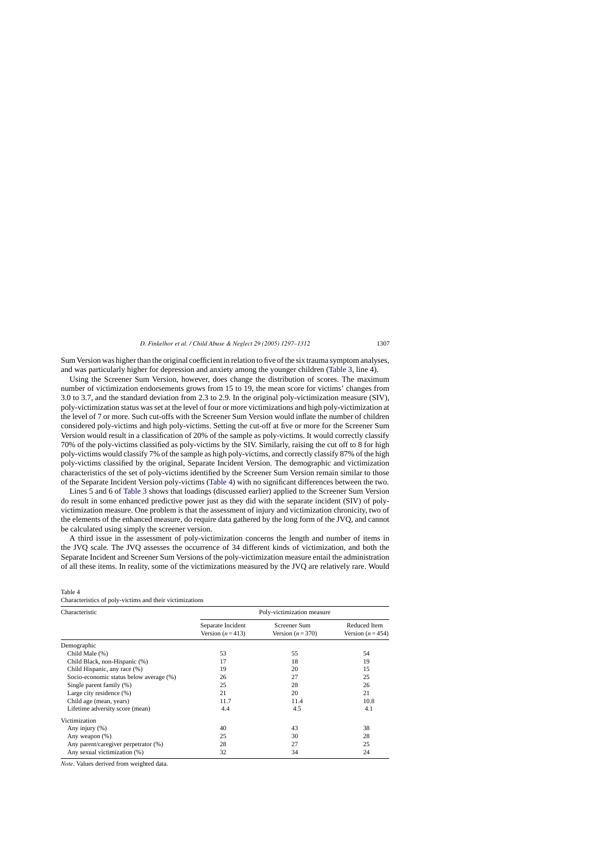<span id="page-10-0"></span>Sum Version was higher than the original coefficient in relation to five of the six trauma symptom analyses, and was particularly higher for depression and anxiety among the younger children ([Table 3,](#page-9-0) line 4).

Using the Screener Sum Version, however, does change the distribution of scores. The maximum number of victimization endorsements grows from 15 to 19, the mean score for victims' changes from 3.0 to 3.7, and the standard deviation from 2.3 to 2.9. In the original poly-victimization measure (SIV), poly-victimization status was set at the level of four or more victimizations and high poly-victimization at the level of 7 or more. Such cut-offs with the Screener Sum Version would inflate the number of children considered poly-victims and high poly-victims. Setting the cut-off at five or more for the Screener Sum Version would result in a classification of 20% of the sample as poly-victims. It would correctly classify 70% of the poly-victims classified as poly-victims by the SIV. Similarly, raising the cut off to 8 for high poly-victims would classify 7% of the sample as high poly-victims, and correctly classify 87% of the high poly-victims classified by the original, Separate Incident Version. The demographic and victimization characteristics of the set of poly-victims identified by the Screener Sum Version remain similar to those of the Separate Incident Version poly-victims (Table 4) with no significant differences between the two.

Lines 5 and 6 of [Table 3](#page-9-0) shows that loadings (discussed earlier) applied to the Screener Sum Version do result in some enhanced predictive power just as they did with the separate incident (SIV) of polyvictimization measure. One problem is that the assessment of injury and victimization chronicity, two of the elements of the enhanced measure, do require data gathered by the long form of the JVQ, and cannot be calculated using simply the screener version.

A third issue in the assessment of poly-victimization concerns the length and number of items in the JVQ scale. The JVQ assesses the occurrence of 34 different kinds of victimization, and both the Separate Incident and Screener Sum Versions of the poly-victimization measure entail the administration of all these items. In reality, some of the victimizations measured by the JVQ are relatively rare. Would

| Characteristic                          | Poly-victimization measure             |                                   |                                   |  |  |
|-----------------------------------------|----------------------------------------|-----------------------------------|-----------------------------------|--|--|
|                                         | Separate Incident<br>Version $(n=413)$ | Screener Sum<br>Version $(n=370)$ | Reduced Item<br>Version $(n=454)$ |  |  |
| Demographic                             |                                        |                                   |                                   |  |  |
| Child Male (%)                          | 53                                     | 55                                | 54                                |  |  |
| Child Black, non-Hispanic (%)           | 17                                     | 18                                | 19                                |  |  |
| Child Hispanic, any race (%)            | 19                                     | 20                                | 15                                |  |  |
| Socio-economic status below average (%) | 26                                     | 27                                | 25                                |  |  |
| Single parent family (%)                | 25                                     | 28                                | 26                                |  |  |
| Large city residence $(\%)$             | 21                                     | 20                                | 21                                |  |  |
| Child age (mean, years)                 | 11.7                                   | 11.4                              | 10.8                              |  |  |
| Lifetime adversity score (mean)         | 4.4                                    | 4.5                               | 4.1                               |  |  |
| Victimization                           |                                        |                                   |                                   |  |  |
| Any injury $(\%)$                       | 40                                     | 43                                | 38                                |  |  |
| Any weapon $(\%)$                       | 25                                     | 30                                | 28                                |  |  |
| Any parent/caregiver perpetrator (%)    | 28                                     | 27                                | 25                                |  |  |
| Any sexual victimization (%)            | 32                                     | 34                                | 24                                |  |  |

Table 4 Characteristics of poly-victims and their victimizations

*Note*. Values derived from weighted data.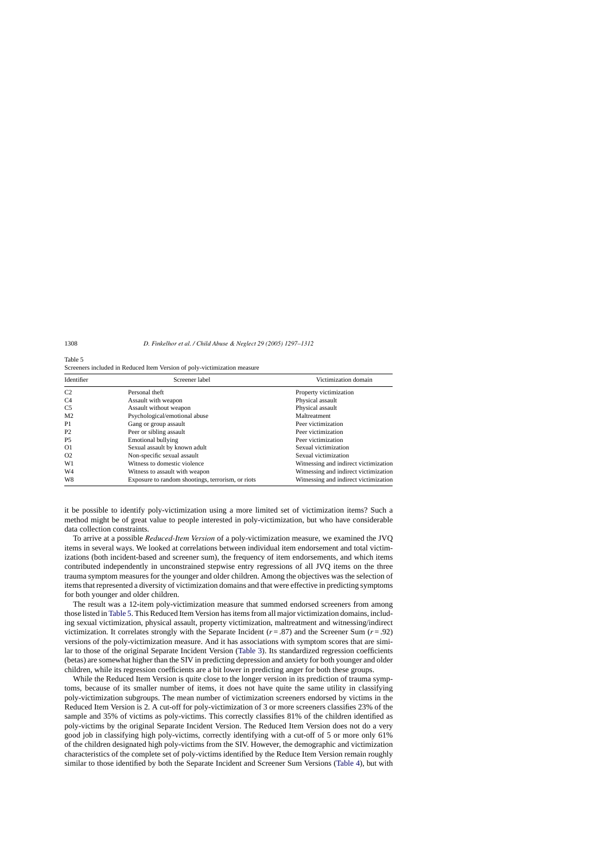| Identifier     | Screener label                                    | Victimization domain                  |
|----------------|---------------------------------------------------|---------------------------------------|
| C <sub>2</sub> | Personal theft                                    | Property victimization                |
| C4             | Assault with weapon                               | Physical assault                      |
| C <sub>5</sub> | Assault without weapon                            | Physical assault                      |
| M <sub>2</sub> | Psychological/emotional abuse                     | Maltreatment                          |
| P1             | Gang or group assault                             | Peer victimization                    |
| P <sub>2</sub> | Peer or sibling assault                           | Peer victimization                    |
| P <sub>5</sub> | Emotional bullying                                | Peer victimization                    |
| O <sub>1</sub> | Sexual assault by known adult                     | Sexual victimization                  |
| O <sub>2</sub> | Non-specific sexual assault                       | Sexual victimization                  |
| W <sub>1</sub> | Witness to domestic violence                      | Witnessing and indirect victimization |
| W4             | Witness to assault with weapon                    | Witnessing and indirect victimization |
| W8             | Exposure to random shootings, terrorism, or riots | Witnessing and indirect victimization |

| Table 5 |                                                                          |
|---------|--------------------------------------------------------------------------|
|         | Screeners included in Reduced Item Version of poly-victimization measure |

it be possible to identify poly-victimization using a more limited set of victimization items? Such a method might be of great value to people interested in poly-victimization, but who have considerable data collection constraints.

To arrive at a possible *Reduced-Item Version* of a poly-victimization measure, we examined the JVQ items in several ways. We looked at correlations between individual item endorsement and total victimizations (both incident-based and screener sum), the frequency of item endorsements, and which items contributed independently in unconstrained stepwise entry regressions of all JVQ items on the three trauma symptom measures for the younger and older children. Among the objectives was the selection of items that represented a diversity of victimization domains and that were effective in predicting symptoms for both younger and older children.

The result was a 12-item poly-victimization measure that summed endorsed screeners from among those listed in Table 5. This Reduced Item Version has items from all major victimization domains, including sexual victimization, physical assault, property victimization, maltreatment and witnessing/indirect victimization. It correlates strongly with the Separate Incident  $(r = .87)$  and the Screener Sum  $(r = .92)$ versions of the poly-victimization measure. And it has associations with symptom scores that are similar to those of the original Separate Incident Version ([Table 3\).](#page-9-0) Its standardized regression coefficients (betas) are somewhat higher than the SIV in predicting depression and anxiety for both younger and older children, while its regression coefficients are a bit lower in predicting anger for both these groups.

While the Reduced Item Version is quite close to the longer version in its prediction of trauma symptoms, because of its smaller number of items, it does not have quite the same utility in classifying poly-victimization subgroups. The mean number of victimization screeners endorsed by victims in the Reduced Item Version is 2. A cut-off for poly-victimization of 3 or more screeners classifies 23% of the sample and 35% of victims as poly-victims. This correctly classifies 81% of the children identified as poly-victims by the original Separate Incident Version. The Reduced Item Version does not do a very good job in classifying high poly-victims, correctly identifying with a cut-off of 5 or more only 61% of the children designated high poly-victims from the SIV. However, the demographic and victimization characteristics of the complete set of poly-victims identified by the Reduce Item Version remain roughly similar to those identified by both the Separate Incident and Screener Sum Versions [\(Table 4\),](#page-10-0) but with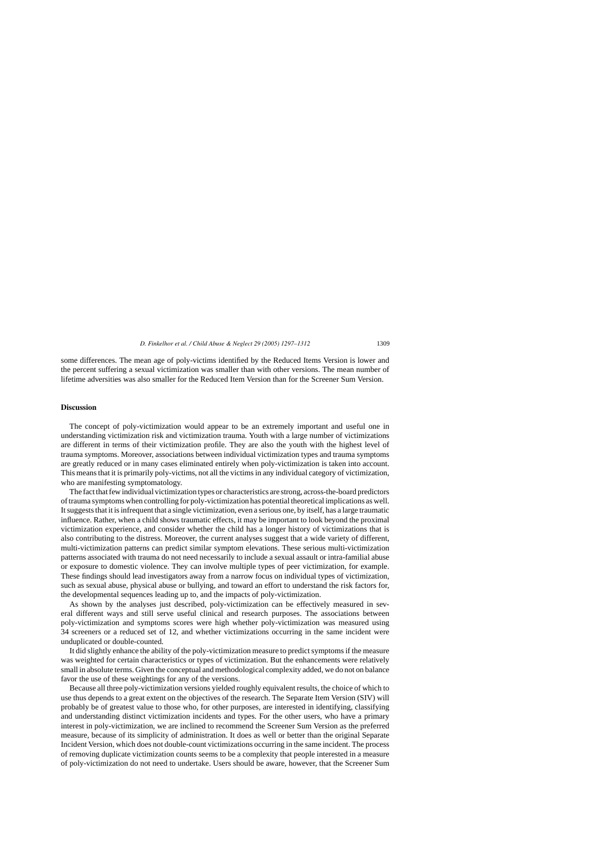some differences. The mean age of poly-victims identified by the Reduced Items Version is lower and the percent suffering a sexual victimization was smaller than with other versions. The mean number of lifetime adversities was also smaller for the Reduced Item Version than for the Screener Sum Version.

#### **Discussion**

The concept of poly-victimization would appear to be an extremely important and useful one in understanding victimization risk and victimization trauma. Youth with a large number of victimizations are different in terms of their victimization profile. They are also the youth with the highest level of trauma symptoms. Moreover, associations between individual victimization types and trauma symptoms are greatly reduced or in many cases eliminated entirely when poly-victimization is taken into account. This means that it is primarily poly-victims, not all the victims in any individual category of victimization, who are manifesting symptomatology.

The fact that few individual victimization types or characteristics are strong, across-the-board predictors of trauma symptoms when controlling for poly-victimization has potential theoretical implications as well. It suggests that it is infrequent that a single victimization, even a serious one, by itself, has a large traumatic influence. Rather, when a child shows traumatic effects, it may be important to look beyond the proximal victimization experience, and consider whether the child has a longer history of victimizations that is also contributing to the distress. Moreover, the current analyses suggest that a wide variety of different, multi-victimization patterns can predict similar symptom elevations. These serious multi-victimization patterns associated with trauma do not need necessarily to include a sexual assault or intra-familial abuse or exposure to domestic violence. They can involve multiple types of peer victimization, for example. These findings should lead investigators away from a narrow focus on individual types of victimization, such as sexual abuse, physical abuse or bullying, and toward an effort to understand the risk factors for, the developmental sequences leading up to, and the impacts of poly-victimization.

As shown by the analyses just described, poly-victimization can be effectively measured in several different ways and still serve useful clinical and research purposes. The associations between poly-victimization and symptoms scores were high whether poly-victimization was measured using 34 screeners or a reduced set of 12, and whether victimizations occurring in the same incident were unduplicated or double-counted.

It did slightly enhance the ability of the poly-victimization measure to predict symptoms if the measure was weighted for certain characteristics or types of victimization. But the enhancements were relatively small in absolute terms. Given the conceptual and methodological complexity added, we do not on balance favor the use of these weightings for any of the versions.

Because all three poly-victimization versions yielded roughly equivalent results, the choice of which to use thus depends to a great extent on the objectives of the research. The Separate Item Version (SIV) will probably be of greatest value to those who, for other purposes, are interested in identifying, classifying and understanding distinct victimization incidents and types. For the other users, who have a primary interest in poly-victimization, we are inclined to recommend the Screener Sum Version as the preferred measure, because of its simplicity of administration. It does as well or better than the original Separate Incident Version, which does not double-count victimizations occurring in the same incident. The process of removing duplicate victimization counts seems to be a complexity that people interested in a measure of poly-victimization do not need to undertake. Users should be aware, however, that the Screener Sum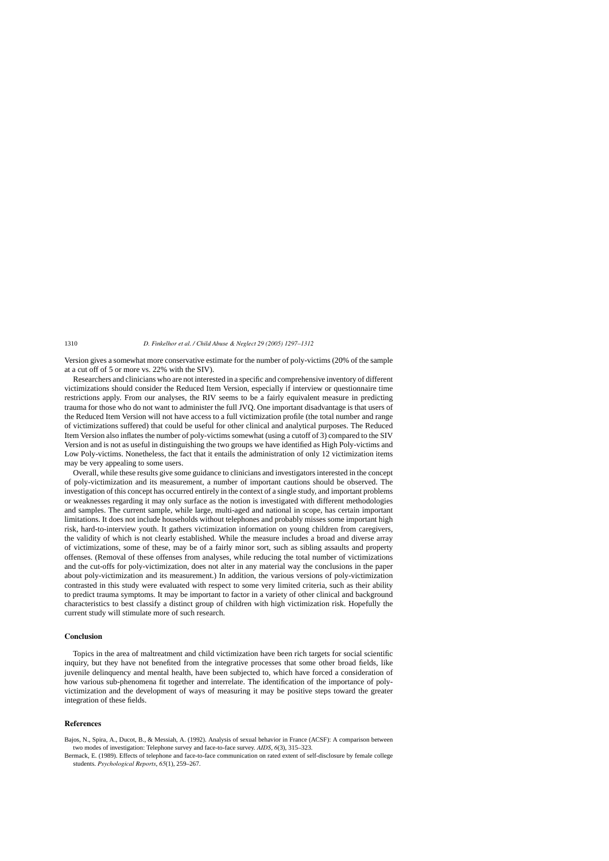<span id="page-13-0"></span>Version gives a somewhat more conservative estimate for the number of poly-victims (20% of the sample at a cut off of 5 or more vs. 22% with the SIV).

Researchers and clinicians who are not interested in a specific and comprehensive inventory of different victimizations should consider the Reduced Item Version, especially if interview or questionnaire time restrictions apply. From our analyses, the RIV seems to be a fairly equivalent measure in predicting trauma for those who do not want to administer the full JVQ. One important disadvantage is that users of the Reduced Item Version will not have access to a full victimization profile (the total number and range of victimizations suffered) that could be useful for other clinical and analytical purposes. The Reduced Item Version also inflates the number of poly-victims somewhat (using a cutoff of 3) compared to the SIV Version and is not as useful in distinguishing the two groups we have identified as High Poly-victims and Low Poly-victims. Nonetheless, the fact that it entails the administration of only 12 victimization items may be very appealing to some users.

Overall, while these results give some guidance to clinicians and investigators interested in the concept of poly-victimization and its measurement, a number of important cautions should be observed. The investigation of this concept has occurred entirely in the context of a single study, and important problems or weaknesses regarding it may only surface as the notion is investigated with different methodologies and samples. The current sample, while large, multi-aged and national in scope, has certain important limitations. It does not include households without telephones and probably misses some important high risk, hard-to-interview youth. It gathers victimization information on young children from caregivers, the validity of which is not clearly established. While the measure includes a broad and diverse array of victimizations, some of these, may be of a fairly minor sort, such as sibling assaults and property offenses. (Removal of these offenses from analyses, while reducing the total number of victimizations and the cut-offs for poly-victimization, does not alter in any material way the conclusions in the paper about poly-victimization and its measurement.) In addition, the various versions of poly-victimization contrasted in this study were evaluated with respect to some very limited criteria, such as their ability to predict trauma symptoms. It may be important to factor in a variety of other clinical and background characteristics to best classify a distinct group of children with high victimization risk. Hopefully the current study will stimulate more of such research.

#### **Conclusion**

Topics in the area of maltreatment and child victimization have been rich targets for social scientific inquiry, but they have not benefited from the integrative processes that some other broad fields, like juvenile delinquency and mental health, have been subjected to, which have forced a consideration of how various sub-phenomena fit together and interrelate. The identification of the importance of polyvictimization and the development of ways of measuring it may be positive steps toward the greater integration of these fields.

#### **References**

Bajos, N., Spira, A., Ducot, B., & Messiah, A. (1992). Analysis of sexual behavior in France (ACSF): A comparison between two modes of investigation: Telephone survey and face-to-face survey. *AIDS*, *6*(3), 315–323.

Bermack, E. (1989). Effects of telephone and face-to-face communication on rated extent of self-disclosure by female college students. *Psychological Reports*, *65*(1), 259–267.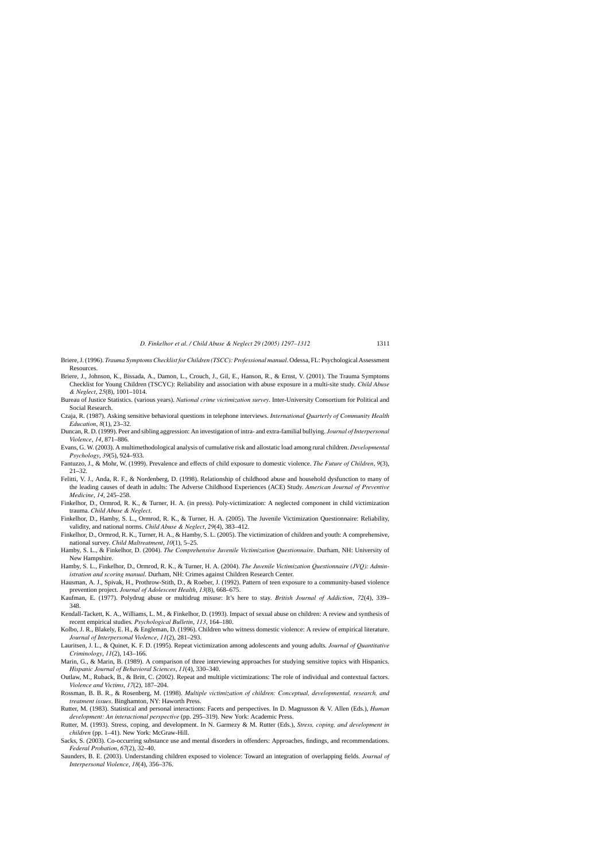- <span id="page-14-0"></span>Briere, J. (1996). *Trauma Symptoms Checklist for Children (TSCC): Professional manual*. Odessa, FL: Psychological Assessment Resources.
- Briere, J., Johnson, K., Bissada, A., Damon, L., Crouch, J., Gil, E., Hanson, R., & Ernst, V. (2001). The Trauma Symptoms Checklist for Young Children (TSCYC): Reliability and association with abuse exposure in a multi-site study. *Child Abuse & Neglect*, *25*(8), 1001–1014.
- Bureau of Justice Statistics. (various years). *National crime victimization survey*. Inter-University Consortium for Political and Social Research.
- Czaja, R. (1987). Asking sensitive behavioral questions in telephone interviews. *International Quarterly of Community Health Education*, *8*(1), 23–32.
- Duncan, R. D. (1999). Peer and sibling aggression: An investigation of intra- and extra-familial bullying. *Journal of Interpersonal Violence*, *14*, 871–886.
- Evans, G. W. (2003). A multimethodological analysis of cumulative risk and allostatic load among rural children. *Developmental Psychology*, *39*(5), 924–933.
- Fantuzzo, J., & Mohr, W. (1999). Prevalence and effects of child exposure to domestic violence. *The Future of Children*, *9*(3), 21–32.
- Felitti, V. J., Anda, R. F., & Nordenberg, D. (1998). Relationship of childhood abuse and household dysfunction to many of the leading causes of death in adults: The Adverse Childhood Experiences (ACE) Study. *American Journal of Preventive Medicine*, *14*, 245–258.
- Finkelhor, D., Ormrod, R. K., & Turner, H. A. (in press). Poly-victimization: A neglected component in child victimization trauma. *Child Abuse & Neglect*.
- Finkelhor, D., Hamby, S. L., Ormrod, R. K., & Turner, H. A. (2005). The Juvenile Victimization Questionnaire: Reliability, validity, and national norms. *Child Abuse & Neglect*, *29*(4), 383–412.
- Finkelhor, D., Ormrod, R. K., Turner, H. A., & Hamby, S. L. (2005). The victimization of children and youth: A comprehensive, national survey. *Child Maltreatment*, *10*(1), 5–25.
- Hamby, S. L., & Finkelhor, D. (2004). *The Comprehensive Juvenile Victimization Questionnaire*. Durham, NH: University of New Hampshire.
- Hamby, S. L., Finkelhor, D., Ormrod, R. K., & Turner, H. A. (2004). *The Juvenile Victimization Questionnaire (JVQ): Administration and scoring manual*. Durham, NH: Crimes against Children Research Center.
- Hausman, A. J., Spivak, H., Prothrow-Stith, D., & Roeber, J. (1992). Pattern of teen exposure to a community-based violence prevention project. *Journal of Adolescent Health*, *13*(8), 668–675.
- Kaufman, E. (1977). Polydrug abuse or multidrug misuse: It's here to stay. *British Journal of Addiction*, *72*(4), 339– 348.
- Kendall-Tackett, K. A., Williams, L. M., & Finkelhor, D. (1993). Impact of sexual abuse on children: A review and synthesis of recent empirical studies. *Psychological Bulletin*, *113*, 164–180.
- Kolbo, J. R., Blakely, E. H., & Engleman, D. (1996). Children who witness domestic violence: A review of empirical literature. *Journal of Interpersonal Violence*, *11*(2), 281–293.
- Lauritsen, J. L., & Quinet, K. F. D. (1995). Repeat victimization among adolescents and young adults. *Journal of Quantitative Criminology*, *11*(2), 143–166.
- Marin, G., & Marin, B. (1989). A comparison of three interviewing approaches for studying sensitive topics with Hispanics. *Hispanic Journal of Behavioral Sciences*, *11*(4), 330–340.
- Outlaw, M., Ruback, B., & Britt, C. (2002). Repeat and multiple victimizations: The role of individual and contextual factors. *Violence and Victims*, *17*(2), 187–204.
- Rossman, B. B. R., & Rosenberg, M. (1998). *Multiple victimization of children: Conceptual, developmental, research, and treatment issues*. Binghamton, NY: Haworth Press.
- Rutter, M. (1983). Statistical and personal interactions: Facets and perspectives. In D. Magnusson & V. Allen (Eds.), *Human development: An interactional perspective* (pp. 295–319). New York: Academic Press.
- Rutter, M. (1993). Stress, coping, and development. In N. Garmezy & M. Rutter (Eds.), *Stress, coping, and development in children* (pp. 1–41). New York: McGraw-Hill.
- Sacks, S. (2003). Co-occurring substance use and mental disorders in offenders: Approaches, findings, and recommendations. *Federal Probation*, *67*(2), 32–40.
- Saunders, B. E. (2003). Understanding children exposed to violence: Toward an integration of overlapping fields. *Journal of Interpersonal Violence*, *18*(4), 356–376.